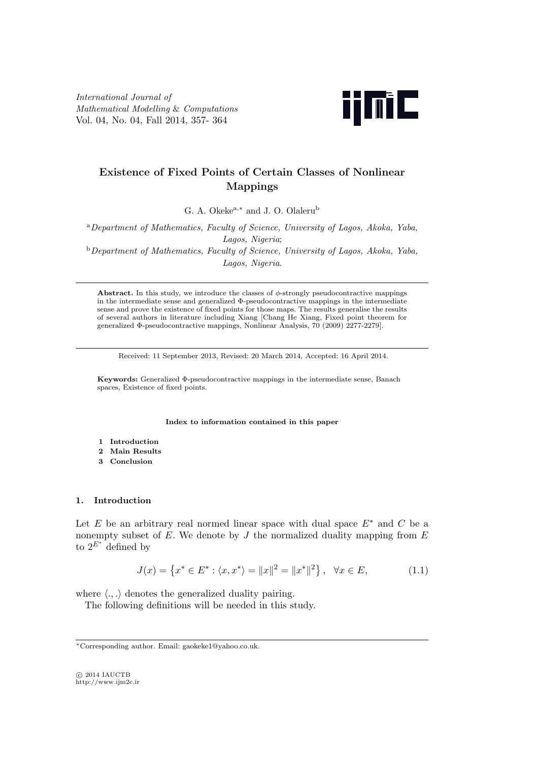*International Journal of Mathematical Modelling* & *Computations* Vol. 04, No. 04, Fall 2014, 357- 364



# **Existence of Fixed Points of Certain Classes of Nonlinear Mappings**

G. A. Okeke<sup>a</sup>*,<sup>∗</sup>* and J. O. Olaleru<sup>b</sup>

<sup>a</sup>*Department of Mathematics, Faculty of Science, University of Lagos, Akoka, Yaba, Lagos, Nigeria*; <sup>b</sup>*Department of Mathematics, Faculty of Science, University of Lagos, Akoka, Yaba,*

*Lagos, Nigeria*.

**Abstract.** In this study, we introduce the classes of *ϕ*-strongly pseudocontractive mappings in the intermediate sense and generalized Φ-pseudocontractive mappings in the intermediate sense and prove the existence of fixed points for those maps. The results generalise the results of several authors in literature including Xiang [Chang He Xiang, Fixed point theorem for generalized Φ-pseudocontractive mappings, Nonlinear Analysis, 70 (2009) 2277-2279].

Received: 11 September 2013, Revised: 20 March 2014, Accepted: 16 April 2014.

**Keywords:** Generalized Φ-pseudocontractive mappings in the intermediate sense, Banach spaces, Existence of fixed points.

**Index to information contained in this paper**

- **1 Introduction**
- **2 Main Results**
- **3 Conclusion**

# **1. Introduction**

Let *E* be an arbitrary real normed linear space with dual space  $E^*$  and  $C$  be a nonempty subset of *E.* We denote by *J* the normalized duality mapping from *E* to  $2^{E^*}$  defined by

$$
J(x) = \left\{ x^* \in E^* : \langle x, x^* \rangle = ||x||^2 = ||x^*||^2 \right\}, \quad \forall x \in E,
$$
\n(1.1)

where  $\langle ., . \rangle$  denotes the generalized duality pairing.

The following definitions will be needed in this study.

*⃝*c 2014 IAUCTB http://www.ijm2c.ir

*<sup>∗</sup>*Corresponding author. Email: gaokeke1@yahoo.co.uk.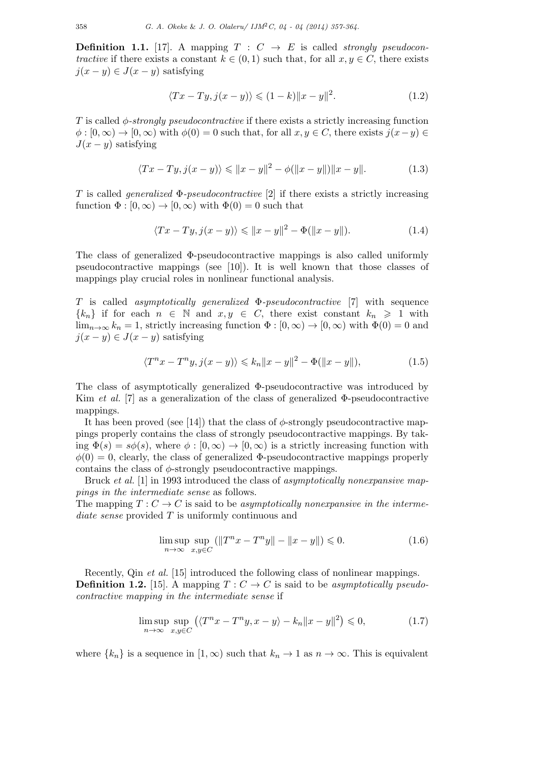**Definition 1.1.** [17]. A mapping  $T: C \rightarrow E$  is called *strongly pseudocontractive* if there exists a constant  $k \in (0,1)$  such that, for all  $x, y \in C$ , there exists  $j(x - y) \in J(x - y)$  satisfying

$$
\langle Tx - Ty, j(x - y) \rangle \leq (1 - k) \|x - y\|^2.
$$
 (1.2)

*T* is called *ϕ-strongly pseudocontractive* if there exists a strictly increasing function  $\phi$ :  $[0, \infty) \rightarrow [0, \infty)$  with  $\phi(0) = 0$  such that, for all  $x, y \in C$ , there exists  $j(x - y) \in$  $J(x - y)$  satisfying

$$
\langle Tx - Ty, j(x - y) \rangle \le ||x - y||^2 - \phi(||x - y||) ||x - y||. \tag{1.3}
$$

*T* is called *generalized* Φ*-pseudocontractive* [2] if there exists a strictly increasing function  $\Phi : [0, \infty) \to [0, \infty)$  with  $\Phi(0) = 0$  such that

$$
\langle Tx - Ty, j(x - y) \rangle \le ||x - y||^2 - \Phi(||x - y||). \tag{1.4}
$$

The class of generalized Φ-pseudocontractive mappings is also called uniformly pseudocontractive mappings (see [10]). It is well known that those classes of mappings play crucial roles in nonlinear functional analysis.

*T* is called *asymptotically generalized* Φ*-pseudocontractive* [7] with sequence  ${k_n}$  if for each  $n \in \mathbb{N}$  and  $x, y \in C$ , there exist constant  $k_n \geq 1$  with lim<sub>n→∞</sub>  $k_n = 1$ , strictly increasing function  $\Phi : [0, \infty) \to [0, \infty)$  with  $\Phi(0) = 0$  and  $j(x - y) \in J(x - y)$  satisfying

$$
\langle T^n x - T^n y, j(x - y) \rangle \le k_n \|x - y\|^2 - \Phi(\|x - y\|),
$$
\n(1.5)

The class of asymptotically generalized Φ-pseudocontractive was introduced by Kim *et al.* [7] as a generalization of the class of generalized Φ-pseudocontractive mappings.

It has been proved (see [14]) that the class of  $\phi$ -strongly pseudocontractive mappings properly contains the class of strongly pseudocontractive mappings. By taking  $\Phi(s) = s\phi(s)$ , where  $\phi : [0, \infty) \to [0, \infty)$  is a strictly increasing function with  $\phi(0) = 0$ , clearly, the class of generalized  $\Phi$ -pseudocontractive mappings properly contains the class of *ϕ*-strongly pseudocontractive mappings.

Bruck *et al.* [1] in 1993 introduced the class of *asymptotically nonexpansive mappings in the intermediate sense* as follows.

The mapping  $T: C \to C$  is said to be *asymptotically nonexpansive in the intermediate sense* provided *T* is uniformly continuous and

$$
\limsup_{n \to \infty} \sup_{x, y \in C} (||T^n x - T^n y|| - ||x - y||) \leq 0.
$$
\n(1.6)

Recently, Qin *et al.* [15] introduced the following class of nonlinear mappings. **Definition 1.2.** [15]. A mapping  $T: C \to C$  is said to be *asymptotically pseudocontractive mapping in the intermediate sense* if

$$
\limsup_{n \to \infty} \sup_{x, y \in C} \left( \langle T^n x - T^n y, x - y \rangle - k_n \|x - y\|^2 \right) \leq 0,
$$
\n(1.7)

where  $\{k_n\}$  is a sequence in  $[1, \infty)$  such that  $k_n \to 1$  as  $n \to \infty$ . This is equivalent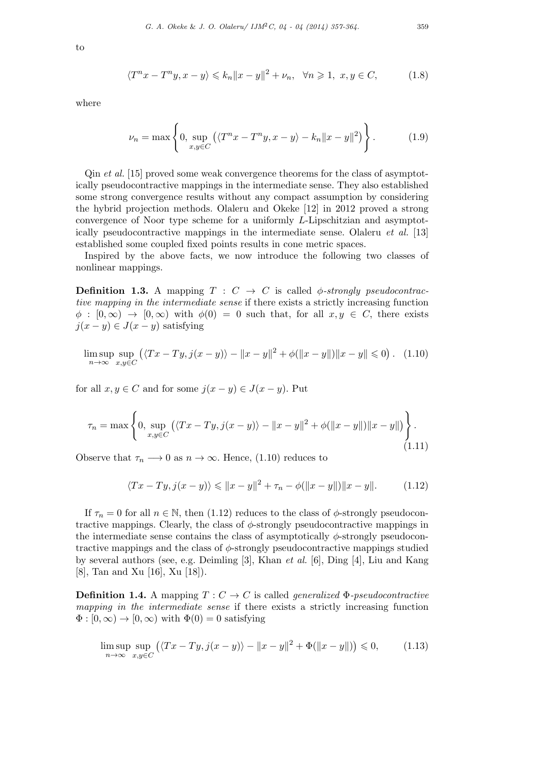$$
\langle T^n x - T^n y, x - y \rangle \leq k_n \|x - y\|^2 + \nu_n, \quad \forall n \geq 1, \ x, y \in C,
$$
 (1.8)

where

$$
\nu_n = \max\left\{0, \sup_{x,y \in C} \left( \langle T^n x - T^n y, x - y \rangle - k_n \|x - y\|^2 \right) \right\}.
$$
 (1.9)

Qin *et al.* [15] proved some weak convergence theorems for the class of asymptotically pseudocontractive mappings in the intermediate sense. They also established some strong convergence results without any compact assumption by considering the hybrid projection methods. Olaleru and Okeke [12] in 2012 proved a strong convergence of Noor type scheme for a uniformly *L*-Lipschitzian and asymptotically pseudocontractive mappings in the intermediate sense. Olaleru *et al.* [13] established some coupled fixed points results in cone metric spaces.

Inspired by the above facts, we now introduce the following two classes of nonlinear mappings.

**Definition 1.3.** A mapping  $T : C \rightarrow C$  is called  $\phi$ -strongly pseudocontrac*tive mapping in the intermediate sense* if there exists a strictly increasing function  $\phi : [0, \infty) \to [0, \infty)$  with  $\phi(0) = 0$  such that, for all  $x, y \in C$ , there exists  $j(x - y) \in J(x - y)$  satisfying

$$
\limsup_{n \to \infty} \sup_{x, y \in C} (\langle Tx - Ty, j(x - y) \rangle - ||x - y||^2 + \phi(||x - y||) ||x - y|| \le 0). \tag{1.10}
$$

for all  $x, y \in C$  and for some  $j(x - y) \in J(x - y)$ . Put

$$
\tau_n = \max \left\{ 0, \sup_{x,y \in C} (\langle Tx - Ty, j(x - y) \rangle - ||x - y||^2 + \phi(||x - y||) ||x - y||) \right\}.
$$
\n(1.11)

Observe that  $\tau_n \longrightarrow 0$  as  $n \to \infty$ . Hence, (1.10) reduces to

$$
\langle Tx - Ty, j(x - y) \rangle \le ||x - y||^2 + \tau_n - \phi(||x - y||) ||x - y||. \tag{1.12}
$$

If  $\tau_n = 0$  for all  $n \in \mathbb{N}$ , then (1.12) reduces to the class of  $\phi$ -strongly pseudocontractive mappings. Clearly, the class of  $\phi$ -strongly pseudocontractive mappings in the intermediate sense contains the class of asymptotically  $\phi$ -strongly pseudocontractive mappings and the class of *ϕ*-strongly pseudocontractive mappings studied by several authors (see, e.g. Deimling [3], Khan *et al.* [6], Ding [4], Liu and Kang [8], Tan and Xu [16], Xu [18]).

**Definition 1.4.** A mapping  $T: C \to C$  is called *generalized*  $\Phi$ *-pseudocontractive mapping in the intermediate sense* if there exists a strictly increasing function  $\Phi : [0, \infty) \to [0, \infty)$  with  $\Phi(0) = 0$  satisfying

$$
\limsup_{n \to \infty} \sup_{x, y \in C} \left( \langle Tx - Ty, j(x - y) \rangle - ||x - y||^2 + \Phi(||x - y||) \right) \leq 0,
$$
\n(1.13)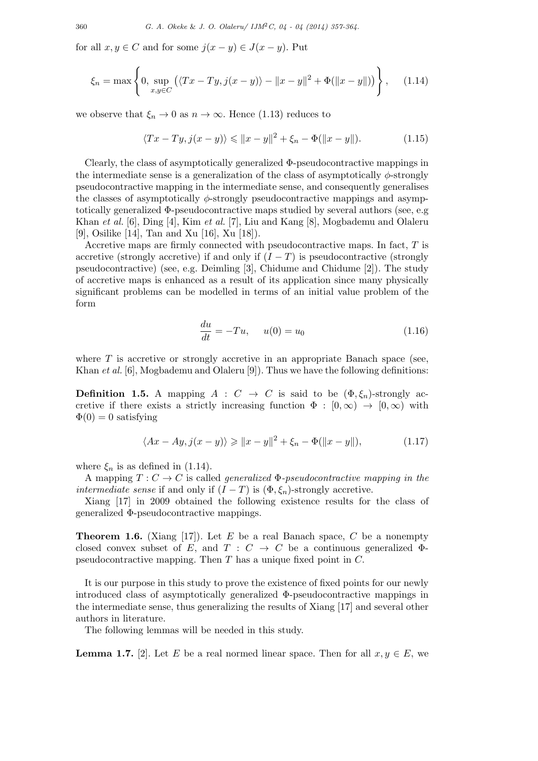for all  $x, y \in C$  and for some  $j(x - y) \in J(x - y)$ . Put

$$
\xi_n = \max \left\{ 0, \sup_{x,y \in C} \left( \langle Tx - Ty, j(x - y) \rangle - ||x - y||^2 + \Phi(||x - y||) \right) \right\}, \quad (1.14)
$$

we observe that  $\xi_n \to 0$  as  $n \to \infty$ . Hence (1.13) reduces to

$$
\langle Tx - Ty, j(x - y) \rangle \le ||x - y||^2 + \xi_n - \Phi(||x - y||). \tag{1.15}
$$

Clearly, the class of asymptotically generalized  $\Phi$ -pseudocontractive mappings in the intermediate sense is a generalization of the class of asymptotically *ϕ*-strongly pseudocontractive mapping in the intermediate sense, and consequently generalises the classes of asymptotically *ϕ*-strongly pseudocontractive mappings and asymptotically generalized  $\Phi$ -pseudocontractive maps studied by several authors (see, e.g. Khan *et al.* [6], Ding [4], Kim *et al.* [7], Liu and Kang [8], Mogbademu and Olaleru [9], Osilike [14], Tan and Xu [16], Xu [18]).

Accretive maps are firmly connected with pseudocontractive maps. In fact, *T* is accretive (strongly accretive) if and only if  $(I - T)$  is pseudocontractive (strongly pseudocontractive) (see, e.g. Deimling [3], Chidume and Chidume [2]). The study of accretive maps is enhanced as a result of its application since many physically significant problems can be modelled in terms of an initial value problem of the form

$$
\frac{du}{dt} = -Tu, \quad u(0) = u_0 \tag{1.16}
$$

where *T* is accretive or strongly accretive in an appropriate Banach space (see, Khan *et al.* [6], Mogbademu and Olaleru [9]). Thus we have the following definitions:

**Definition 1.5.** A mapping  $A : C \rightarrow C$  is said to be  $(\Phi, \xi_n)$ -strongly accretive if there exists a strictly increasing function  $\Phi : [0, \infty) \to [0, \infty)$  with  $\Phi(0) = 0$  satisfying

$$
\langle Ax - Ay, j(x - y) \rangle \ge ||x - y||^2 + \xi_n - \Phi(||x - y||), \tag{1.17}
$$

where  $\xi_n$  is as defined in (1.14).

A mapping  $T: C \to C$  is called *generalized*  $\Phi$ -pseudocontractive mapping in the *intermediate sense* if and only if  $(I - T)$  is  $(\Phi, \xi_n)$ -strongly accretive.

Xiang [17] in 2009 obtained the following existence results for the class of generalized Φ-pseudocontractive mappings.

**Theorem 1.6.** (Xiang [17]). Let  $E$  be a real Banach space,  $C$  be a nonempty closed convex subset of *E*, and  $T : C \rightarrow C$  be a continuous generalized  $\Phi$ pseudocontractive mapping. Then *T* has a unique fixed point in *C.*

It is our purpose in this study to prove the existence of fixed points for our newly introduced class of asymptotically generalized Φ-pseudocontractive mappings in the intermediate sense, thus generalizing the results of Xiang [17] and several other authors in literature.

The following lemmas will be needed in this study.

**Lemma 1.7.** [2]. Let *E* be a real normed linear space. Then for all  $x, y \in E$ , we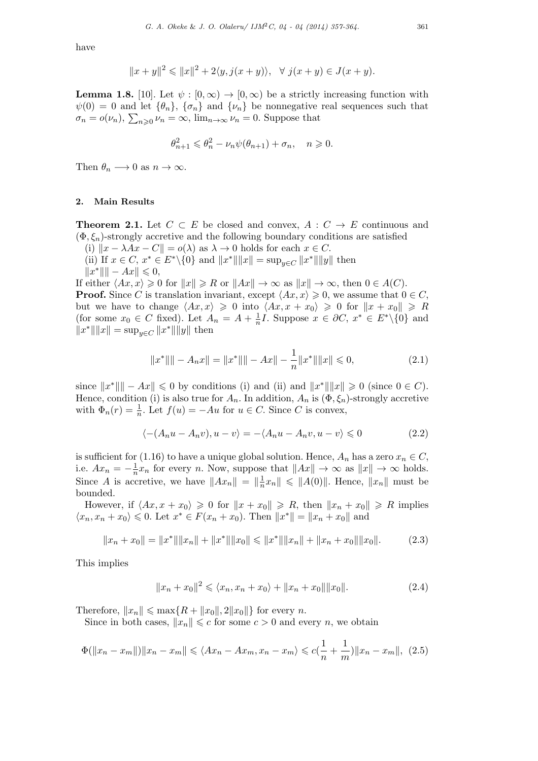have

$$
||x + y||2 \le ||x||2 + 2\langle y, j(x + y)\rangle, \quad \forall \ j(x + y) \in J(x + y).
$$

**Lemma 1.8.** [10]. Let  $\psi : [0, \infty) \to [0, \infty)$  be a strictly increasing function with  $\psi(0) = 0$  and let  $\{\theta_n\}$ ,  $\{\sigma_n\}$  and  $\{\nu_n\}$  be nonnegative real sequences such that  $\sigma_n = o(\nu_n)$ ,  $\sum_{n \geq 0} \nu_n = \infty$ ,  $\lim_{n \to \infty} \nu_n = 0$ . Suppose that

$$
\theta_{n+1}^2 \leqslant \theta_n^2 - \nu_n \psi(\theta_{n+1}) + \sigma_n, \quad n \geqslant 0.
$$

Then  $\theta_n \longrightarrow 0$  as  $n \to \infty$ .

## **2. Main Results**

**Theorem 2.1.** Let  $C \subset E$  be closed and convex,  $A : C \to E$  continuous and  $(\Phi, \xi_n)$ -strongly accretive and the following boundary conditions are satisfied

(i)  $||x - \lambda Ax - C|| = o(\lambda)$  as  $\lambda \to 0$  holds for each  $x \in C$ .

(ii) If  $x \in C$ ,  $x^* \in E^* \setminus \{0\}$  and  $||x^*|| ||x|| = \sup_{y \in C} ||x^*|| ||y||$  then *∥x <sup>∗</sup>∥∥ − Ax∥* ⩽ 0*,*

If either  $\langle Ax, x \rangle \geq 0$  for  $||x|| \geq R$  or  $||Ax|| \to \infty$  as  $||x|| \to \infty$ , then  $0 \in A(C)$ . **Proof.** Since *C* is translation invariant, except  $\langle Ax, x \rangle \geq 0$ , we assume that  $0 \in C$ , but we have to change  $\langle Ax, x \rangle \geq 0$  into  $\langle Ax, x + x_0 \rangle \geq 0$  for  $||x + x_0|| \geq R$ (for some  $x_0 \in C$  fixed). Let  $A_n = A + \frac{1}{n}$  $\frac{1}{n}I$ . Suppose  $x \in \partial C$ ,  $x^* \in E^* \setminus \{0\}$  and  $||x^*|| ||x|| = \sup_{y \in C} ||x^*|| ||y||$  then

$$
||x^*|| - A_n x|| = ||x^*|| - Ax|| - \frac{1}{n}||x^*|| ||x|| \le 0,
$$
\n(2.1)

since  $||x^*|| - Ax|| \le 0$  by conditions (i) and (ii) and  $||x^*|| ||x|| \ge 0$  (since  $0 \in C$ ). Hence, condition (i) is also true for  $A_n$ . In addition,  $A_n$  is  $(\Phi, \xi_n)$ -strongly accretive with  $\Phi_n(r) = \frac{1}{n}$ . Let  $f(u) = -Au$  for  $u \in C$ . Since *C* is convex,

$$
\langle -(A_n u - A_n v), u - v \rangle = -\langle A_n u - A_n v, u - v \rangle \leq 0 \tag{2.2}
$$

is sufficient for (1.16) to have a unique global solution. Hence,  $A_n$  has a zero  $x_n \in C$ , i.e.  $Ax_n = -\frac{1}{n}$  $\frac{1}{n}x_n$  for every *n*. Now, suppose that  $||Ax|| \to \infty$  as  $||x|| \to \infty$  holds. Since *A* is accretive, we have  $||Ax_n|| = ||\frac{1}{n}$  $\frac{1}{n}$ *x*<sup>*n*</sup>  $||$  ≤  $||A(0)||$ . Hence,  $||x_n||$  must be bounded.

However, if  $\langle Ax, x + x_0 \rangle \geq 0$  for  $||x + x_0|| \geq R$ , then  $||x_n + x_0|| \geq R$  implies  $\langle x_n, x_n + x_0 \rangle \leq 0$ . Let  $x^* \in F(x_n + x_0)$ . Then  $||x^*|| = ||x_n + x_0||$  and

$$
||x_n + x_0|| = ||x^*|| ||x_n|| + ||x^*|| ||x_0|| \le ||x^*|| ||x_n|| + ||x_n + x_0|| ||x_0||.
$$
 (2.3)

This implies

$$
||x_n + x_0||^2 \le \langle x_n, x_n + x_0 \rangle + ||x_n + x_0|| ||x_0||. \tag{2.4}
$$

Therefore,  $||x_n|| \leq \max\{R + ||x_0||, 2||x_0||\}$  for every *n*.

Since in both cases,  $||x_n|| \leq c$  for some  $c > 0$  and every *n*, we obtain

$$
\Phi(||x_n - x_m||)||x_n - x_m|| \leq \langle Ax_n - Ax_m, x_n - x_m \rangle \leq c\left(\frac{1}{n} + \frac{1}{m}\right) ||x_n - x_m||, \tag{2.5}
$$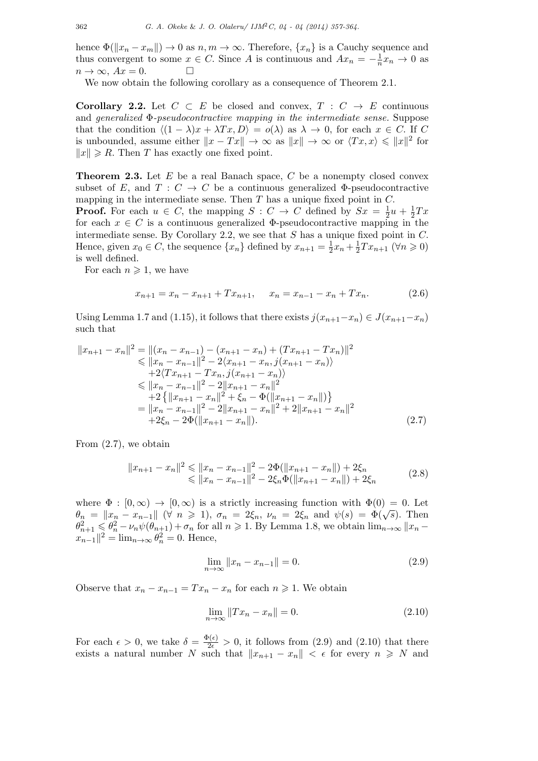hence  $\Phi(\Vert x_n - x_m \Vert) \to 0$  as  $n, m \to \infty$ . Therefore,  $\{x_n\}$  is a Cauchy sequence and thus convergent to some  $x \in C$ . Since *A* is continuous and  $Ax_n = -\frac{1}{n}$  $\frac{1}{n}x_n \to 0$  as  $n \to \infty$ *, Ax* = 0*.* □

We now obtain the following corollary as a consequence of Theorem 2.1.

**Corollary 2.2.** Let  $C \subset E$  be closed and convex,  $T : C \rightarrow E$  continuous and *generalized* Φ*-pseudocontractive mapping in the intermediate sense.* Suppose that the condition  $\langle (1 - \lambda)x + \lambda Tx, D \rangle = o(\lambda)$  as  $\lambda \to 0$ , for each  $x \in C$ . If C is unbounded, assume either  $||x - Tx|| \to \infty$  as  $||x|| \to \infty$  or  $\langle Tx, x \rangle \leq ||x||^2$  for  $||x|| \ge R$ . Then *T* has exactly one fixed point.

**Theorem 2.3.** Let *E* be a real Banach space, *C* be a nonempty closed convex subset of *E*, and  $T: C \to C$  be a continuous generalized  $\Phi$ -pseudocontractive mapping in the intermediate sense. Then *T* has a unique fixed point in *C.*

**Proof.** For each  $u \in C$ , the mapping  $S: C \to C$  defined by  $Sx = \frac{1}{2}$  $\frac{1}{2}u + \frac{1}{2}$  $rac{1}{2}Tx$ for each  $x \in C$  is a continuous generalized  $\Phi$ -pseudocontractive mapping in the intermediate sense. By Corollary 2.2, we see that *S* has a unique fixed point in *C.* Hence, given  $x_0 \in C$ , the sequence  $\{x_n\}$  defined by  $x_{n+1} = \frac{1}{2}$  $rac{1}{2}x_n + \frac{1}{2}$  $\frac{1}{2}Tx_{n+1}$  ( $\forall n \geqslant 0$ ) is well defined.

For each  $n \geqslant 1$ , we have

$$
x_{n+1} = x_n - x_{n+1} + Tx_{n+1}, \quad x_n = x_{n-1} - x_n + Tx_n.
$$
 (2.6)

Using Lemma 1.7 and (1.15), it follows that there exists  $j(x_{n+1}-x_n) \in J(x_{n+1}-x_n)$ such that

$$
||x_{n+1} - x_n||^2 = ||(x_n - x_{n-1}) - (x_{n+1} - x_n) + (Tx_{n+1} - Tx_n)||^2
$$
  
\n
$$
\le ||x_n - x_{n-1}||^2 - 2\langle x_{n+1} - x_n, j(x_{n+1} - x_n) \rangle
$$
  
\n
$$
+ 2\langle Tx_{n+1} - Tx_n, j(x_{n+1} - x_n) \rangle
$$
  
\n
$$
\le ||x_n - x_{n-1}||^2 - 2||x_{n+1} - x_n||^2
$$
  
\n
$$
+ 2\{||x_{n+1} - x_n||^2 + \xi_n - \Phi(||x_{n+1} - x_n||)\}
$$
  
\n
$$
= ||x_n - x_{n-1}||^2 - 2||x_{n+1} - x_n||^2 + 2||x_{n+1} - x_n||^2
$$
  
\n
$$
+ 2\xi_n - 2\Phi(||x_{n+1} - x_n||).
$$
\n(2.7)

From (2.7), we obtain

$$
||x_{n+1} - x_n||^2 \le ||x_n - x_{n-1}||^2 - 2\Phi(||x_{n+1} - x_n||) + 2\xi_n
$$
  
\n
$$
\le ||x_n - x_{n-1}||^2 - 2\xi_n \Phi(||x_{n+1} - x_n||) + 2\xi_n
$$
\n(2.8)

where  $\Phi : [0, \infty) \to [0, \infty)$  is a strictly increasing function with  $\Phi(0) = 0$ . Let where  $\Psi$ .  $[0, \infty) \to [0, \infty)$  is a strictly increasing function with  $\Psi(0) = 0$ . Let  $\theta_n = ||x_n - x_{n-1}|| \ (\forall \ n \geq 1), \ \sigma_n = 2\xi_n, \ \nu_n = 2\xi_n$  and  $\psi(s) = \Phi(\sqrt{s})$ . Then  $\theta_{n+1}^2 \leq \theta_n^2 - \nu_n \psi(\theta_{n+1}) + \sigma_n$  for all  $n \geq 1$ . By Lemma 1.8, we obtain  $\lim_{n\to\infty} ||x_n - x|$  $x_{n-1}$ <sup>2</sup> = lim<sub>*n*→∞</sub>  $\theta_n^2 = 0$ . Hence,

$$
\lim_{n \to \infty} ||x_n - x_{n-1}|| = 0.
$$
\n(2.9)

Observe that  $x_n - x_{n-1} = Tx_n - x_n$  for each  $n \ge 1$ . We obtain

$$
\lim_{n \to \infty} ||Tx_n - x_n|| = 0.
$$
\n(2.10)

For each  $\epsilon > 0$ , we take  $\delta = \frac{\Phi(\epsilon)}{2\epsilon} > 0$ , it follows from (2.9) and (2.10) that there exists a natural number *N* such that  $||x_{n+1} - x_n|| < \epsilon$  for every  $n \geq N$  and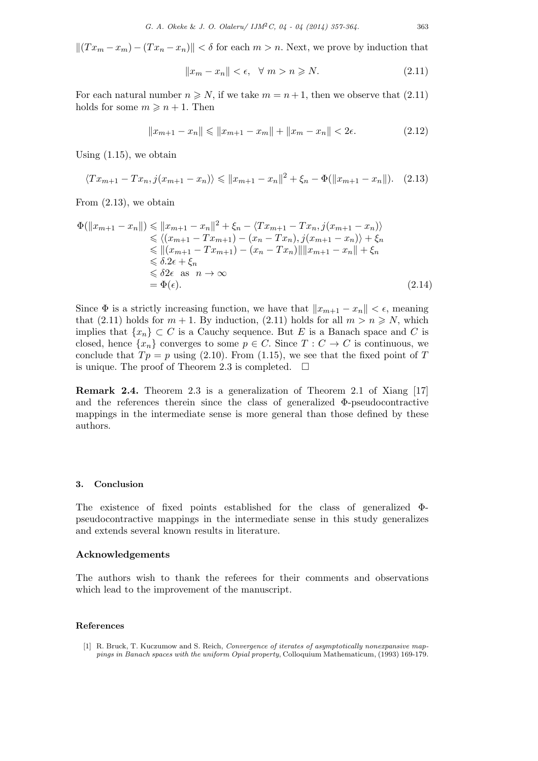$$
||(Tx_m - x_m) - (Tx_n - x_n)|| < \delta
$$
 for each  $m > n$ . Next, we prove by induction that

$$
||x_m - x_n|| < \epsilon, \quad \forall \ m > n \ge N. \tag{2.11}
$$

For each natural number  $n \geq N$ , if we take  $m = n + 1$ , then we observe that (2.11) holds for some  $m \geq n + 1$ . Then

$$
||x_{m+1} - x_n|| \le ||x_{m+1} - x_m|| + ||x_m - x_n|| < 2\epsilon.
$$
 (2.12)

Using  $(1.15)$ , we obtain

$$
\langle Tx_{m+1} - Tx_n, j(x_{m+1} - x_n) \rangle \le ||x_{m+1} - x_n||^2 + \xi_n - \Phi(||x_{m+1} - x_n||). \tag{2.13}
$$

From (2.13), we obtain

$$
\Phi(||x_{m+1} - x_n||) \le ||x_{m+1} - x_n||^2 + \xi_n - \langle Tx_{m+1} - Tx_n, j(x_{m+1} - x_n) \rangle
$$
  
\n
$$
\le \langle (x_{m+1} - Tx_{m+1}) - (x_n - Tx_n), j(x_{m+1} - x_n) \rangle + \xi_n
$$
  
\n
$$
\le ||(x_{m+1} - Tx_{m+1}) - (x_n - Tx_n)|| ||x_{m+1} - x_n|| + \xi_n
$$
  
\n
$$
\le \delta 2\epsilon + \xi_n
$$
  
\n
$$
\le \delta 2\epsilon \text{ as } n \to \infty
$$
  
\n
$$
= \Phi(\epsilon).
$$
\n(2.14)

Since  $\Phi$  is a strictly increasing function, we have that  $||x_{m+1} - x_n|| < \epsilon$ , meaning that (2.11) holds for  $m + 1$ . By induction, (2.11) holds for all  $m > n \ge N$ , which implies that  $\{x_n\} \subset C$  is a Cauchy sequence. But *E* is a Banach space and *C* is closed, hence  $\{x_n\}$  converges to some  $p \in C$ . Since  $T : C \to C$  is continuous, we conclude that  $Tp = p$  using (2.10). From (1.15), we see that the fixed point of *T* is unique. The proof of Theorem 2.3 is completed.  $\square$ 

**Remark 2.4.** Theorem 2.3 is a generalization of Theorem 2.1 of Xiang [17] and the references therein since the class of generalized  $\Phi$ -pseudocontractive mappings in the intermediate sense is more general than those defined by these authors.

#### **3. Conclusion**

The existence of fixed points established for the class of generalized Φpseudocontractive mappings in the intermediate sense in this study generalizes and extends several known results in literature.

## **Acknowledgements**

The authors wish to thank the referees for their comments and observations which lead to the improvement of the manuscript.

#### **References**

<sup>[1]</sup> R. Bruck, T. Kuczumow and S. Reich, *Convergence of iterates of asymptotically nonexpansive mappings in Banach spaces with the uniform Opial property*, Colloquium Mathematicum, (1993) 169-179.